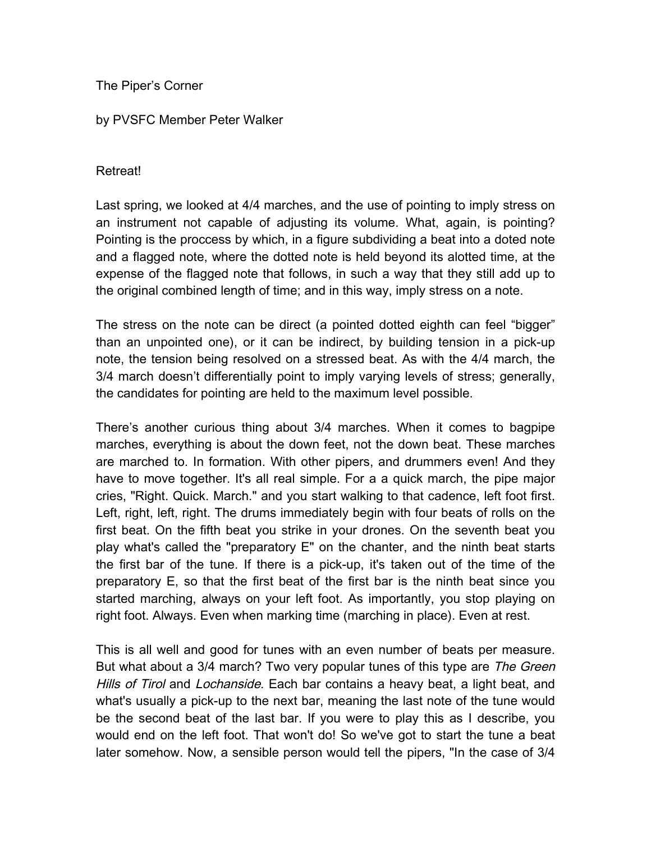The Piper's Corner

## by PVSFC Member Peter Walker

## Retreat!

Last spring, we looked at 4/4 marches, and the use of pointing to imply stress on an instrument not capable of adjusting its volume. What, again, is pointing? Pointing is the proccess by which, in a figure subdividing a beat into a doted note and a flagged note, where the dotted note is held beyond its alotted time, at the expense of the flagged note that follows, in such a way that they still add up to the original combined length of time; and in this way, imply stress on a note.

The stress on the note can be direct (a pointed dotted eighth can feel "bigger" than an unpointed one), or it can be indirect, by building tension in a pick-up note, the tension being resolved on a stressed beat. As with the 4/4 march, the 3/4 march doesn't differentially point to imply varying levels of stress; generally, the candidates for pointing are held to the maximum level possible.

There's another curious thing about 3/4 marches. When it comes to bagpipe marches, everything is about the down feet, not the down beat. These marches are marched to. In formation. With other pipers, and drummers even! And they have to move together. It's all real simple. For a a quick march, the pipe major cries, "Right. Quick. March." and you start walking to that cadence, left foot first. Left, right, left, right. The drums immediately begin with four beats of rolls on the first beat. On the fifth beat you strike in your drones. On the seventh beat you play what's called the "preparatory E" on the chanter, and the ninth beat starts the first bar of the tune. If there is a pick-up, it's taken out of the time of the preparatory E, so that the first beat of the first bar is the ninth beat since you started marching, always on your left foot. As importantly, you stop playing on right foot. Always. Even when marking time (marching in place). Even at rest.

This is all well and good for tunes with an even number of beats per measure. But what about a 3/4 march? Two very popular tunes of this type are The Green Hills of Tirol and Lochanside. Each bar contains a heavy beat, a light beat, and what's usually a pick-up to the next bar, meaning the last note of the tune would be the second beat of the last bar. If you were to play this as I describe, you would end on the left foot. That won't do! So we've got to start the tune a beat later somehow. Now, a sensible person would tell the pipers, "In the case of 3/4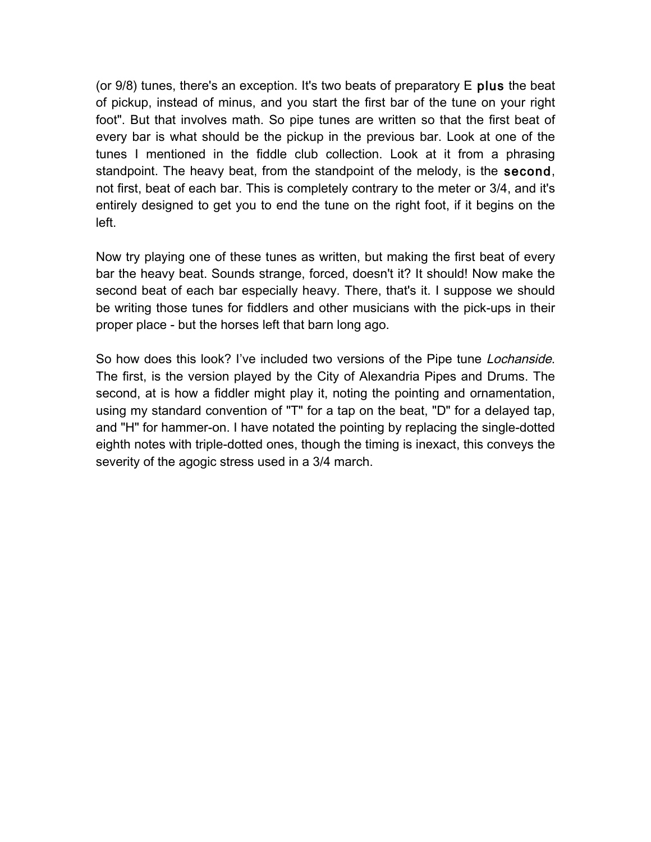(or  $9/8$ ) tunes, there's an exception. It's two beats of preparatory  $E$  plus the beat of pickup, instead of minus, and you start the first bar of the tune on your right foot". But that involves math. So pipe tunes are written so that the first beat of every bar is what should be the pickup in the previous bar. Look at one of the tunes I mentioned in the fiddle club collection. Look at it from a phrasing standpoint. The heavy beat, from the standpoint of the melody, is the second, not first, beat of each bar. This is completely contrary to the meter or 3/4, and it's entirely designed to get you to end the tune on the right foot, if it begins on the left.

Now try playing one of these tunes as written, but making the first beat of every bar the heavy beat. Sounds strange, forced, doesn't it? It should! Now make the second beat of each bar especially heavy. There, that's it. I suppose we should be writing those tunes for fiddlers and other musicians with the pick-ups in their proper place - but the horses left that barn long ago.

So how does this look? I've included two versions of the Pipe tune *Lochanside*. The first, is the version played by the City of Alexandria Pipes and Drums. The second, at is how a fiddler might play it, noting the pointing and ornamentation, using my standard convention of "T" for a tap on the beat, "D" for a delayed tap, and "H" for hammer-on. I have notated the pointing by replacing the single-dotted eighth notes with triple-dotted ones, though the timing is inexact, this conveys the severity of the agogic stress used in a 3/4 march.